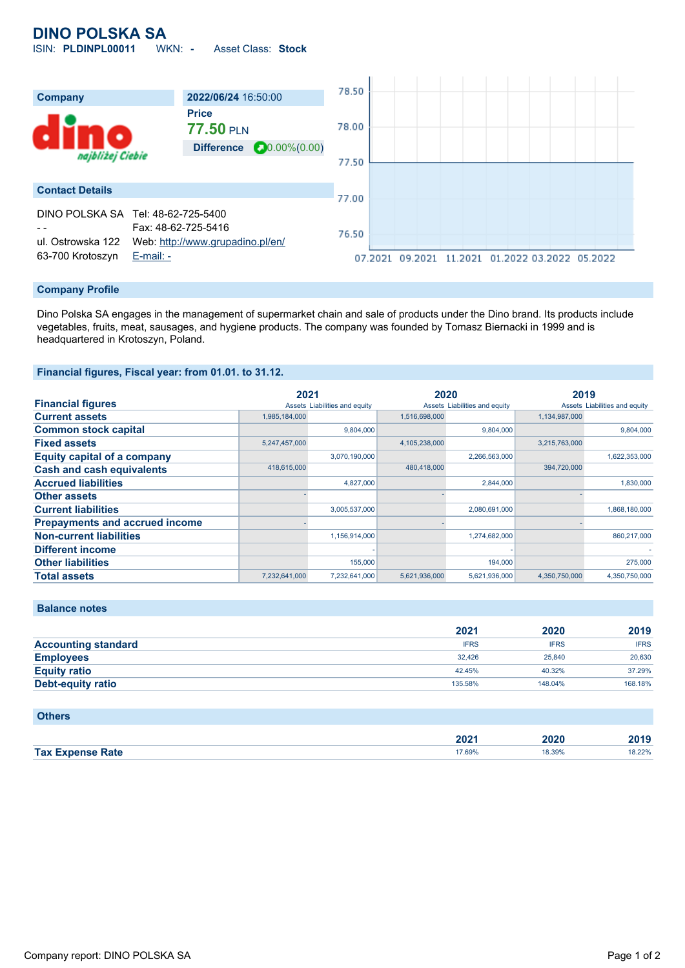# **DINO POLSKA SA**

ISIN: **PLDINPL00011** WKN: **-** Asset Class: **Stock**



### **Company Profile**

Dino Polska SA engages in the management of supermarket chain and sale of products under the Dino brand. Its products include vegetables, fruits, meat, sausages, and hygiene products. The company was founded by Tomasz Biernacki in 1999 and is headquartered in Krotoszyn, Poland.

### **Financial figures, Fiscal year: from 01.01. to 31.12.**

|                                       | 2021          |                               | 2020          |                               | 2019          |                               |
|---------------------------------------|---------------|-------------------------------|---------------|-------------------------------|---------------|-------------------------------|
| <b>Financial figures</b>              |               | Assets Liabilities and equity |               | Assets Liabilities and equity |               | Assets Liabilities and equity |
| <b>Current assets</b>                 | 1,985,184,000 |                               | 1,516,698,000 |                               | 1,134,987,000 |                               |
| <b>Common stock capital</b>           |               | 9.804.000                     |               | 9.804.000                     |               | 9.804.000                     |
| <b>Fixed assets</b>                   | 5,247,457,000 |                               | 4,105,238,000 |                               | 3,215,763,000 |                               |
| <b>Equity capital of a company</b>    |               | 3,070,190,000                 |               | 2,266,563,000                 |               | 1,622,353,000                 |
| <b>Cash and cash equivalents</b>      | 418,615,000   |                               | 480,418,000   |                               | 394,720,000   |                               |
| <b>Accrued liabilities</b>            |               | 4,827,000                     |               | 2,844,000                     |               | 1,830,000                     |
| <b>Other assets</b>                   |               |                               |               |                               |               |                               |
| <b>Current liabilities</b>            |               | 3,005,537,000                 |               | 2,080,691,000                 |               | 1,868,180,000                 |
| <b>Prepayments and accrued income</b> |               |                               |               |                               |               |                               |
| <b>Non-current liabilities</b>        |               | 1,156,914,000                 |               | 1,274,682,000                 |               | 860,217,000                   |
| <b>Different income</b>               |               |                               |               |                               |               |                               |
| <b>Other liabilities</b>              |               | 155,000                       |               | 194,000                       |               | 275,000                       |
| <b>Total assets</b>                   | 7,232,641,000 | 7,232,641,000                 | 5,621,936,000 | 5,621,936,000                 | 4,350,750,000 | 4,350,750,000                 |

### **Balance notes**

|                            | 2021        | 2020        | 2019        |
|----------------------------|-------------|-------------|-------------|
| <b>Accounting standard</b> | <b>IFRS</b> | <b>IFRS</b> | <b>IFRS</b> |
| <b>Employees</b>           | 32.426      | 25.840      | 20,630      |
| <b>Equity ratio</b>        | 42.45%      | 40.32%      | 37.29%      |
| Debt-equity ratio          | 135.58%     | 148.04%     | 168.18%     |

| <b>Others</b>           |        |        |        |
|-------------------------|--------|--------|--------|
|                         | 2021   | 2020   | 2019   |
| <b>Tax Expense Rate</b> | 17.69% | 18.39% | 18.22% |